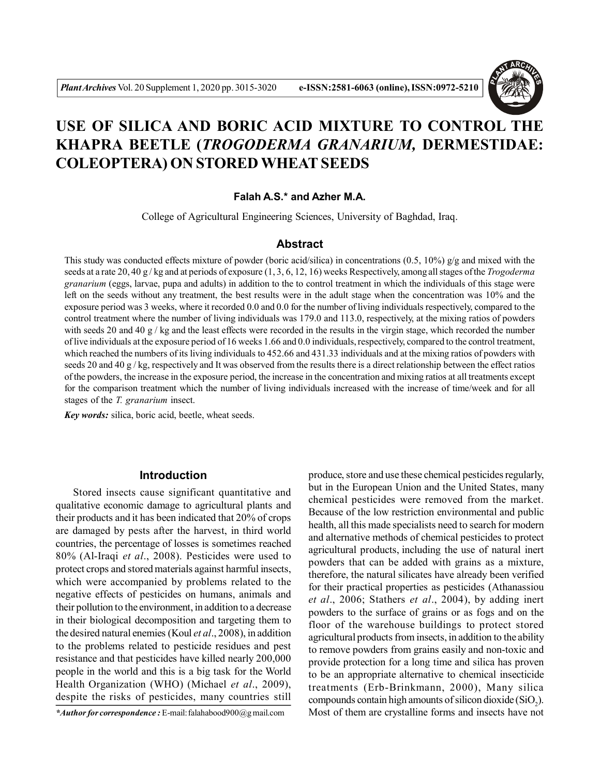

# **USE OF SILICA AND BORIC ACID MIXTURE TO CONTROL THE KHAPRA BEETLE (***TROGODERMA GRANARIUM,* **DERMESTIDAE: COLEOPTERA) ON STORED WHEAT SEEDS**

#### **Falah A.S.\* and Azher M.A.**

College of Agricultural Engineering Sciences, University of Baghdad, Iraq.

## **Abstract**

This study was conducted effects mixture of powder (boric acid/silica) in concentrations  $(0.5, 10\%)$  g/g and mixed with the seeds at a rate 20, 40 g / kg and at periods of exposure (1, 3, 6, 12, 16) weeks Respectively, among all stages of the *Trogoderma granarium* (eggs, larvae, pupa and adults) in addition to the to control treatment in which the individuals of this stage were left on the seeds without any treatment, the best results were in the adult stage when the concentration was 10% and the exposure period was 3 weeks, where it recorded 0.0 and 0.0 for the number of living individuals respectively, compared to the control treatment where the number of living individuals was 179.0 and 113.0, respectively, at the mixing ratios of powders with seeds 20 and 40 g / kg and the least effects were recorded in the results in the virgin stage, which recorded the number of live individuals at the exposure period of 16 weeks 1.66 and 0.0 individuals, respectively, compared to the control treatment, which reached the numbers of its living individuals to 452.66 and 431.33 individuals and at the mixing ratios of powders with seeds 20 and 40 g / kg, respectively and It was observed from the results there is a direct relationship between the effect ratios of the powders, the increase in the exposure period, the increase in the concentration and mixing ratios at all treatments except for the comparison treatment which the number of living individuals increased with the increase of time/week and for all stages of the *T. granarium* insect.

*Key words:* silica, boric acid, beetle, wheat seeds.

## **Introduction**

Stored insects cause significant quantitative and qualitative economic damage to agricultural plants and their products and it has been indicated that 20% of crops are damaged by pests after the harvest, in third world countries, the percentage of losses is sometimes reached 80% (Al-Iraqi *et al*., 2008). Pesticides were used to protect crops and stored materials against harmful insects, which were accompanied by problems related to the negative effects of pesticides on humans, animals and their pollution to the environment, in addition to a decrease in their biological decomposition and targeting them to the desired natural enemies (Koul *et al*., 2008), in addition to the problems related to pesticide residues and pest resistance and that pesticides have killed nearly 200,000 people in the world and this is a big task for the World Health Organization (WHO) (Michael *et al*., 2009), despite the risks of pesticides, many countries still

*\*Author for correspondence :* E-mail: falahabood900@g mail.com

produce, store and use these chemical pesticides regularly, but in the European Union and the United States, many chemical pesticides were removed from the market. Because of the low restriction environmental and public health, all this made specialists need to search for modern and alternative methods of chemical pesticides to protect agricultural products, including the use of natural inert powders that can be added with grains as a mixture, therefore, the natural silicates have already been verified for their practical properties as pesticides (Athanassiou *et al*., 2006; Stathers *et al*., 2004), by adding inert powders to the surface of grains or as fogs and on the floor of the warehouse buildings to protect stored agricultural products from insects, in addition to the ability to remove powders from grains easily and non-toxic and provide protection for a long time and silica has proven to be an appropriate alternative to chemical insecticide treatments (Erb-Brinkmann, 2000), Many silica compounds contain high amounts of silicon dioxide  $(SiO_2)$ . Most of them are crystalline forms and insects have not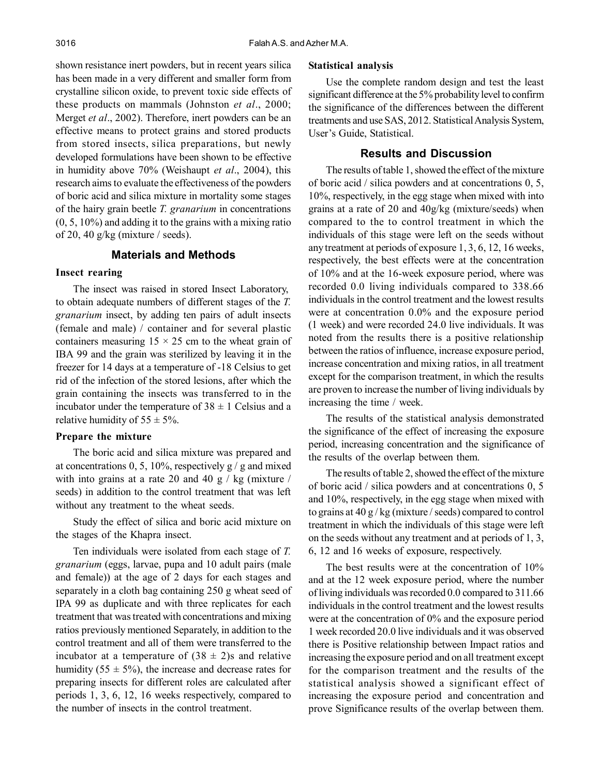shown resistance inert powders, but in recent years silica has been made in a very different and smaller form from crystalline silicon oxide, to prevent toxic side effects of these products on mammals (Johnston *et al*., 2000; Merget *et al*., 2002). Therefore, inert powders can be an effective means to protect grains and stored products from stored insects, silica preparations, but newly developed formulations have been shown to be effective in humidity above 70% (Weishaupt *et al*., 2004), this research aims to evaluate the effectiveness of the powders of boric acid and silica mixture in mortality some stages of the hairy grain beetle *T. granarium* in concentrations (0, 5, 10%) and adding it to the grains with a mixing ratio of 20, 40 g/kg (mixture / seeds).

# **Materials and Methods**

#### **Insect rearing**

The insect was raised in stored Insect Laboratory, to obtain adequate numbers of different stages of the *T. granarium* insect, by adding ten pairs of adult insects (female and male) / container and for several plastic containers measuring  $15 \times 25$  cm to the wheat grain of IBA 99 and the grain was sterilized by leaving it in the freezer for 14 days at a temperature of -18 Celsius to get rid of the infection of the stored lesions, after which the grain containing the insects was transferred to in the incubator under the temperature of  $38 \pm 1$  Celsius and a relative humidity of  $55 \pm 5\%$ .

#### **Prepare the mixture**

The boric acid and silica mixture was prepared and at concentrations 0, 5, 10%, respectively  $g / g$  and mixed with into grains at a rate 20 and 40 g  $/$  kg (mixture  $/$ seeds) in addition to the control treatment that was left without any treatment to the wheat seeds.

Study the effect of silica and boric acid mixture on the stages of the Khapra insect.

Ten individuals were isolated from each stage of *T. granarium* (eggs, larvae, pupa and 10 adult pairs (male and female)) at the age of 2 days for each stages and separately in a cloth bag containing 250 g wheat seed of IPA 99 as duplicate and with three replicates for each treatment that was treated with concentrations and mixing ratios previously mentioned Separately, in addition to the control treatment and all of them were transferred to the incubator at a temperature of  $(38 \pm 2)$ s and relative humidity (55  $\pm$  5%), the increase and decrease rates for preparing insects for different roles are calculated after periods 1, 3, 6, 12, 16 weeks respectively, compared to the number of insects in the control treatment.

#### **Statistical analysis**

Use the complete random design and test the least significant difference at the 5% probability level to confirm the significance of the differences between the different treatments and use SAS, 2012. Statistical Analysis System, User's Guide, Statistical.

# **Results and Discussion**

The results of table 1, showed the effect of the mixture of boric acid / silica powders and at concentrations 0, 5, 10%, respectively, in the egg stage when mixed with into grains at a rate of 20 and 40g/kg (mixture/seeds) when compared to the to control treatment in which the individuals of this stage were left on the seeds without any treatment at periods of exposure 1, 3, 6, 12, 16 weeks, respectively, the best effects were at the concentration of 10% and at the 16-week exposure period, where was recorded 0.0 living individuals compared to 338.66 individuals in the control treatment and the lowest results were at concentration 0.0% and the exposure period (1 week) and were recorded 24.0 live individuals. It was noted from the results there is a positive relationship between the ratios of influence, increase exposure period, increase concentration and mixing ratios, in all treatment except for the comparison treatment, in which the results are proven to increase the number of living individuals by increasing the time / week.

The results of the statistical analysis demonstrated the significance of the effect of increasing the exposure period, increasing concentration and the significance of the results of the overlap between them.

The results of table 2, showed the effect of the mixture of boric acid / silica powders and at concentrations 0, 5 and 10%, respectively, in the egg stage when mixed with to grains at 40 g / kg (mixture / seeds) compared to control treatment in which the individuals of this stage were left on the seeds without any treatment and at periods of 1, 3, 6, 12 and 16 weeks of exposure, respectively.

The best results were at the concentration of 10% and at the 12 week exposure period, where the number of living individuals was recorded 0.0 compared to 311.66 individuals in the control treatment and the lowest results were at the concentration of 0% and the exposure period 1 week recorded 20.0 live individuals and it was observed there is Positive relationship between Impact ratios and increasing the exposure period and on all treatment except for the comparison treatment and the results of the statistical analysis showed a significant effect of increasing the exposure period and concentration and prove Significance results of the overlap between them.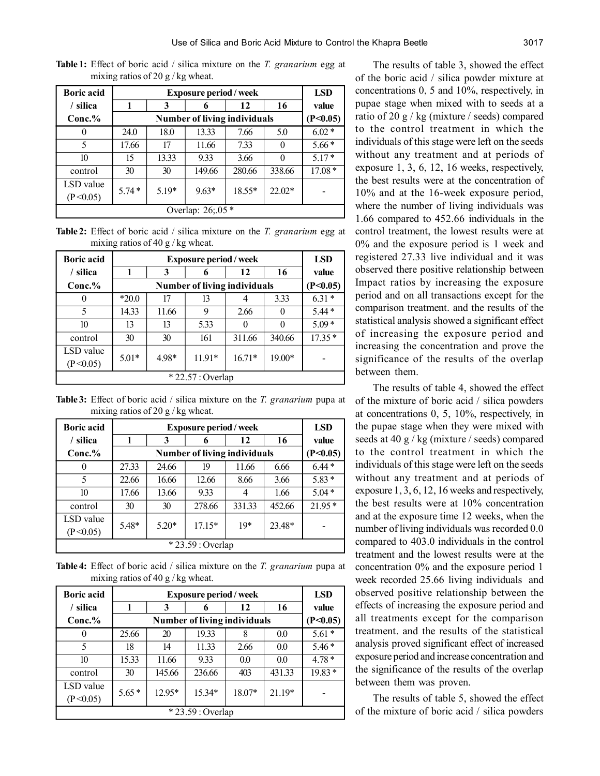| <b>Boric acid</b>       |                   | <b>LSD</b>                          |         |        |          |          |  |  |
|-------------------------|-------------------|-------------------------------------|---------|--------|----------|----------|--|--|
| / silica                |                   | 3                                   | 6       | 12     | 16       | value    |  |  |
| $Conc.\%$               |                   | <b>Number of living individuals</b> |         |        |          |          |  |  |
| 0                       | 24.0              | 18.0                                | 13.33   | 7.66   | 5.0      | $6.02*$  |  |  |
| 5                       | 17.66             | 17                                  | 11.66   | 7.33   |          | $5.66*$  |  |  |
| 10                      | 15                | 13.33                               | 9.33    | 3.66   |          | $5.17*$  |  |  |
| control                 | 30                | 30                                  | 149.66  | 280.66 | 338.66   | $17.08*$ |  |  |
| LSD value<br>(P < 0.05) | $5.74*$           | $5.19*$                             | $9.63*$ | 18.55* | $22.02*$ |          |  |  |
|                         | Overlap: 26;.05 * |                                     |         |        |          |          |  |  |

**Table 1:** Effect of boric acid / silica mixture on the *T. granarium* egg at mixing ratios of 20 g / kg wheat.

**Table 2:** Effect of boric acid / silica mixture on the *T. granarium* egg at mixing ratios of 40 g / kg wheat.

| <b>Boric acid</b> |         | <b>LSD</b> |                                     |          |          |          |
|-------------------|---------|------------|-------------------------------------|----------|----------|----------|
| silica            |         | 3          |                                     | 12       | 16       | value    |
| $Conc.\%$         |         |            | <b>Number of living individuals</b> |          |          | (P<0.05) |
|                   | $*20.0$ | 17         | 13                                  |          | 3.33     | $6.31*$  |
| 5                 | 14.33   | 11.66      | 9                                   | 2.66     | $\theta$ | $5.44*$  |
| 10                | 13      | 13         | 5.33                                |          | $\theta$ | $5.09*$  |
| control           | 30      | 30         | 161                                 | 311.66   | 340.66   | $17.35*$ |
| LSD value         | $5.01*$ | 4.98*      | $11.91*$                            | $16.71*$ | 19.00*   |          |
| (P<0.05)          |         |            |                                     |          |          |          |
|                   |         |            | $*22.57: Overlap$                   |          |          |          |

**Table 3:** Effect of boric acid / silica mixture on the *T. granarium* pupa at mixing ratios of 20 g / kg wheat.

| <b>Boric acid</b> |                   | <b>Exposure period/week</b>         |          |        |        |          |  |  |  |
|-------------------|-------------------|-------------------------------------|----------|--------|--------|----------|--|--|--|
| silica            | 1                 | 3                                   | 6        | 12     | 16     | value    |  |  |  |
| $Conc.\%$         |                   | <b>Number of living individuals</b> |          |        |        |          |  |  |  |
|                   | 27.33             | 24.66                               | 19       | 11.66  | 6.66   | $6.44*$  |  |  |  |
| 5                 | 22.66             | 16.66                               | 12.66    | 8.66   | 3.66   | $5.83*$  |  |  |  |
| 10                | 17.66             | 13.66                               | 9.33     | 4      | 1.66   | $5.04*$  |  |  |  |
| control           | 30                | 30                                  | 278.66   | 331.33 | 452.66 | $21.95*$ |  |  |  |
| LSD value         | 5.48*             | $5.20*$                             | $17.15*$ | $10*$  | 23.48* |          |  |  |  |
| (P<0.05)          |                   |                                     |          |        |        |          |  |  |  |
|                   | * 23.59 : Overlap |                                     |          |        |        |          |  |  |  |

**Table 4:** Effect of boric acid / silica mixture on the *T. granarium* pupa at mixing ratios of 40 g / kg wheat.

| <b>Boric acid</b>       |                   | <b>Exposure period/week</b>         |          |        |          |          |  |  |  |
|-------------------------|-------------------|-------------------------------------|----------|--------|----------|----------|--|--|--|
| silica                  | 1                 | 3                                   | 6        | 12     | 16       | value    |  |  |  |
| $Conc.\%$               |                   | <b>Number of living individuals</b> |          |        |          |          |  |  |  |
| $\theta$                | 25.66             | 20                                  | 19.33    | 8      | 0.0      | $5.61*$  |  |  |  |
| 5                       | 18                | 14                                  | 11.33    | 2.66   | 0.0      | $5.46*$  |  |  |  |
| 10                      | 15.33             | 11.66                               | 9.33     | 0.0    | 0.0      | $4.78*$  |  |  |  |
| control                 | 30                | 145.66                              | 236.66   | 403    | 431.33   | $19.83*$ |  |  |  |
| LSD value<br>(P < 0.05) | $5.65*$           | $12.95*$                            | $15.34*$ | 18.07* | $21.19*$ |          |  |  |  |
|                         | $*23.59: Overlap$ |                                     |          |        |          |          |  |  |  |

The results of table 3, showed the effect of the boric acid / silica powder mixture at concentrations 0, 5 and 10%, respectively, in pupae stage when mixed with to seeds at a ratio of 20 g / kg (mixture / seeds) compared to the control treatment in which the individuals of this stage were left on the seeds without any treatment and at periods of exposure 1, 3, 6, 12, 16 weeks, respectively, the best results were at the concentration of 10% and at the 16-week exposure period, where the number of living individuals was 1.66 compared to 452.66 individuals in the control treatment, the lowest results were at 0% and the exposure period is 1 week and registered 27.33 live individual and it was observed there positive relationship between Impact ratios by increasing the exposure period and on all transactions except for the comparison treatment. and the results of the statistical analysis showed a significant effect of increasing the exposure period and increasing the concentration and prove the significance of the results of the overlap between them.

The results of table 4, showed the effect of the mixture of boric acid / silica powders at concentrations 0, 5, 10%, respectively, in the pupae stage when they were mixed with seeds at 40 g / kg (mixture / seeds) compared to the control treatment in which the individuals of this stage were left on the seeds without any treatment and at periods of exposure 1, 3, 6, 12, 16 weeks and respectively, the best results were at 10% concentration and at the exposure time 12 weeks, when the number of living individuals was recorded 0.0 compared to 403.0 individuals in the control treatment and the lowest results were at the concentration 0% and the exposure period 1 week recorded 25.66 living individuals and observed positive relationship between the effects of increasing the exposure period and all treatments except for the comparison treatment. and the results of the statistical analysis proved significant effect of increased exposure period and increase concentration and the significance of the results of the overlap between them was proven.

The results of table 5, showed the effect of the mixture of boric acid / silica powders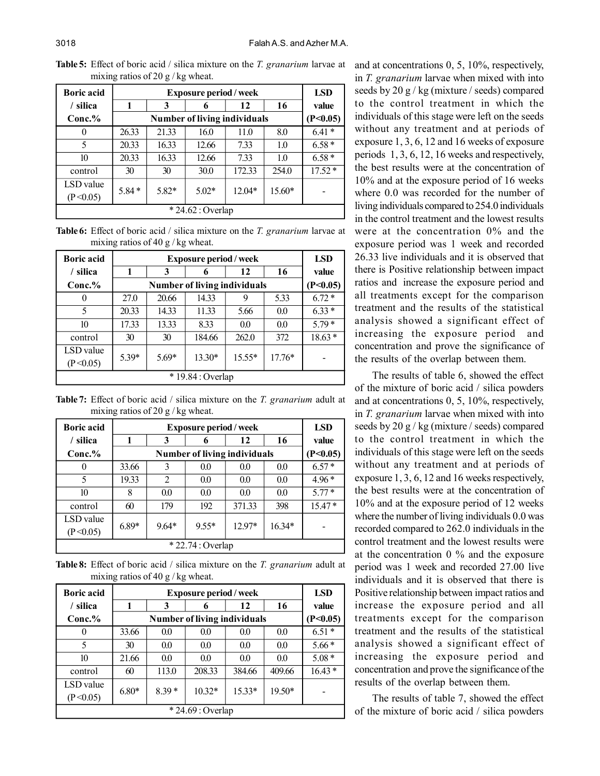| <b>Boric acid</b> |                   | <b>LSD</b>                          |         |        |        |          |  |  |
|-------------------|-------------------|-------------------------------------|---------|--------|--------|----------|--|--|
| silica            |                   | 3                                   | 6       | 12     | 16     | value    |  |  |
| $Conc.\%$         |                   | <b>Number of living individuals</b> |         |        |        |          |  |  |
| $\theta$          | 26.33             | 21.33                               | 16.0    | 11.0   | 8.0    | $6.41*$  |  |  |
| 5                 | 20.33             | 16.33                               | 12.66   | 7.33   | 1.0    | $6.58*$  |  |  |
| 10                | 20.33             | 16.33                               | 12.66   | 7.33   | 1.0    | $6.58*$  |  |  |
| control           | 30                | 30                                  | 30.0    | 172.33 | 254.0  | $17.52*$ |  |  |
| LSD value         |                   |                                     |         |        |        |          |  |  |
| (P<0.05)          | $5.84*$           | $5.82*$                             | $5.02*$ | 12.04* | 15.60* |          |  |  |
|                   | $*24.62: Overlap$ |                                     |         |        |        |          |  |  |

**Table 5:** Effect of boric acid / silica mixture on the *T. granarium* larvae at mixing ratios of 20 g / kg wheat.

**Table 6:** Effect of boric acid / silica mixture on the *T. granarium* larvae at mixing ratios of 40 g / kg wheat.

| <b>Boric acid</b>     |                   | <b>Exposure period / week</b> |                                     |          |          |          |  |  |
|-----------------------|-------------------|-------------------------------|-------------------------------------|----------|----------|----------|--|--|
| silica                | 1                 | 3                             | o                                   | 12       | 16       | value    |  |  |
| $Conc.\%$             |                   |                               | <b>Number of living individuals</b> |          |          | (P<0.05) |  |  |
|                       | 27.0              | 20.66                         | 14.33                               | 9        | 5.33     | $6.72*$  |  |  |
| 5                     | 20.33             | 14.33                         | 11.33                               | 5.66     | 0.0      | $6.33*$  |  |  |
| 10                    | 17.33             | 13.33                         | 8.33                                | 0.0      | 0.0      | $5.79*$  |  |  |
| control               | 30                | 30                            | 184.66                              | 262.0    | 372      | $18.63*$ |  |  |
| LSD value<br>(P<0.05) | $5.39*$           | $5.69*$                       | $13.30*$                            | $15.55*$ | $17.76*$ |          |  |  |
|                       | * 19.84 : Overlap |                               |                                     |          |          |          |  |  |

**Table 7:** Effect of boric acid / silica mixture on the *T. granarium* adult at mixing ratios of 20 g / kg wheat.

| <b>Boric acid</b>     |         | <b>Exposure period/week</b>  |                   |        |          |          |  |  |  |
|-----------------------|---------|------------------------------|-------------------|--------|----------|----------|--|--|--|
| / silica              |         | 3                            | 6                 | 12     | 16       | value    |  |  |  |
| $Conc.\%$             |         | Number of living individuals |                   |        |          |          |  |  |  |
| 0                     | 33.66   | 3                            | 0.0               | 0.0    | 0.0      | $6.57*$  |  |  |  |
| 5                     | 19.33   | 2                            | 0.0               | 0.0    | 0.0      | $4.96*$  |  |  |  |
| 10                    | 8       | 0.0                          | 0.0               | 0.0    | 0.0      | $5.77*$  |  |  |  |
| control               | 60      | 179                          | 192               | 371.33 | 398      | $15.47*$ |  |  |  |
| LSD value<br>(P<0.05) | $6.89*$ | $9.64*$                      | $9.55*$           | 12.97* | $16.34*$ |          |  |  |  |
|                       |         |                              | $*22.74: Overlap$ |        |          |          |  |  |  |

**Table 8:** Effect of boric acid / silica mixture on the *T. granarium* adult at mixing ratios of 40 g / kg wheat.

| <b>Boric acid</b>     |                   | <b>LSD</b>                   |          |          |          |          |  |  |  |
|-----------------------|-------------------|------------------------------|----------|----------|----------|----------|--|--|--|
| silica                |                   | 3                            |          | 12       | 16       | value    |  |  |  |
| $Conc.\%$             |                   | Number of living individuals |          |          |          |          |  |  |  |
|                       | 33.66             | 0.0                          | 0.0      | 0.0      | 0.0      | $6.51*$  |  |  |  |
| 5                     | 30                | 0.0                          | 0.0      | 0.0      | 0.0      | $5.66*$  |  |  |  |
| 10                    | 21.66             | 0.0                          | 0.0      | 0.0      | 0.0      | $5.08*$  |  |  |  |
| control               | 60                | 113.0                        | 208.33   | 384.66   | 409.66   | $16.43*$ |  |  |  |
| LSD value<br>(P<0.05) | $6.80*$           | $839*$                       | $10.32*$ | $15.33*$ | $19.50*$ |          |  |  |  |
|                       | $*24.69:$ Overlap |                              |          |          |          |          |  |  |  |

and at concentrations 0, 5, 10%, respectively, in *T. granarium* larvae when mixed with into seeds by 20 g / kg (mixture / seeds) compared to the control treatment in which the individuals of this stage were left on the seeds without any treatment and at periods of exposure 1, 3, 6, 12 and 16 weeks of exposure periods 1, 3, 6, 12, 16 weeks and respectively, the best results were at the concentration of 10% and at the exposure period of 16 weeks where 0.0 was recorded for the number of living individuals compared to 254.0 individuals in the control treatment and the lowest results were at the concentration 0% and the exposure period was 1 week and recorded 26.33 live individuals and it is observed that there is Positive relationship between impact ratios and increase the exposure period and all treatments except for the comparison treatment and the results of the statistical analysis showed a significant effect of increasing the exposure period and concentration and prove the significance of the results of the overlap between them.

The results of table 6, showed the effect of the mixture of boric acid / silica powders and at concentrations 0, 5, 10%, respectively, in *T. granarium* larvae when mixed with into seeds by 20 g / kg (mixture / seeds) compared to the control treatment in which the individuals of this stage were left on the seeds without any treatment and at periods of exposure 1, 3, 6, 12 and 16 weeks respectively, the best results were at the concentration of 10% and at the exposure period of 12 weeks where the number of living individuals 0.0 was recorded compared to 262.0 individuals in the control treatment and the lowest results were at the concentration 0 % and the exposure period was 1 week and recorded 27.00 live individuals and it is observed that there is Positive relationship between impact ratios and increase the exposure period and all treatments except for the comparison treatment and the results of the statistical analysis showed a significant effect of increasing the exposure period and concentration and prove the significance of the results of the overlap between them.

The results of table 7, showed the effect of the mixture of boric acid / silica powders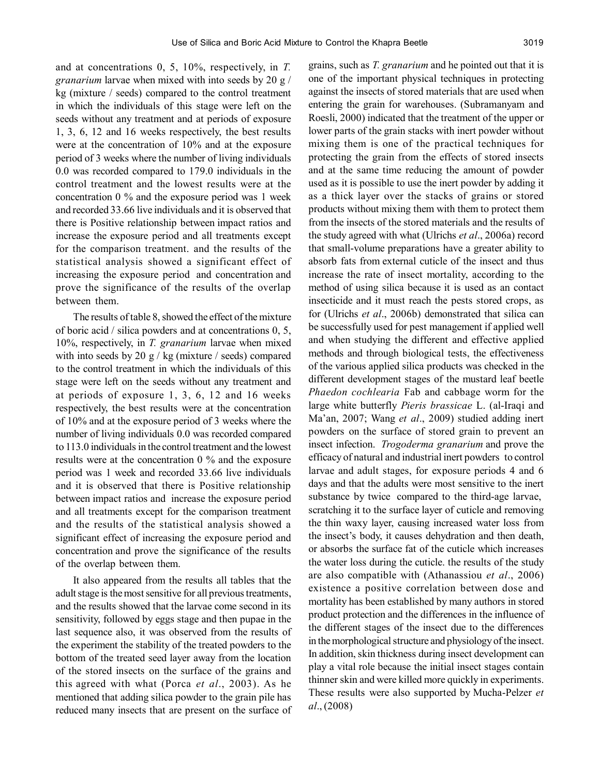and at concentrations 0, 5, 10%, respectively, in *T. granarium* larvae when mixed with into seeds by 20 g / kg (mixture / seeds) compared to the control treatment in which the individuals of this stage were left on the seeds without any treatment and at periods of exposure 1, 3, 6, 12 and 16 weeks respectively, the best results were at the concentration of 10% and at the exposure period of 3 weeks where the number of living individuals 0.0 was recorded compared to 179.0 individuals in the control treatment and the lowest results were at the concentration 0 % and the exposure period was 1 week and recorded 33.66 live individuals and it is observed that there is Positive relationship between impact ratios and increase the exposure period and all treatments except for the comparison treatment. and the results of the statistical analysis showed a significant effect of increasing the exposure period and concentration and prove the significance of the results of the overlap between them.

The results of table 8, showed the effect of the mixture of boric acid / silica powders and at concentrations 0, 5, 10%, respectively, in *T. granarium* larvae when mixed with into seeds by 20 g / kg (mixture / seeds) compared to the control treatment in which the individuals of this stage were left on the seeds without any treatment and at periods of exposure 1, 3, 6, 12 and 16 weeks respectively, the best results were at the concentration of 10% and at the exposure period of 3 weeks where the number of living individuals 0.0 was recorded compared to 113.0 individuals in the control treatment and the lowest results were at the concentration 0 % and the exposure period was 1 week and recorded 33.66 live individuals and it is observed that there is Positive relationship between impact ratios and increase the exposure period and all treatments except for the comparison treatment and the results of the statistical analysis showed a significant effect of increasing the exposure period and concentration and prove the significance of the results of the overlap between them.

It also appeared from the results all tables that the adult stage is the most sensitive for all previous treatments, and the results showed that the larvae come second in its sensitivity, followed by eggs stage and then pupae in the last sequence also, it was observed from the results of the experiment the stability of the treated powders to the bottom of the treated seed layer away from the location of the stored insects on the surface of the grains and this agreed with what (Porca *et al*., 2003). As he mentioned that adding silica powder to the grain pile has reduced many insects that are present on the surface of grains, such as *T. granarium* and he pointed out that it is one of the important physical techniques in protecting against the insects of stored materials that are used when entering the grain for warehouses. (Subramanyam and Roesli, 2000) indicated that the treatment of the upper or lower parts of the grain stacks with inert powder without mixing them is one of the practical techniques for protecting the grain from the effects of stored insects and at the same time reducing the amount of powder used as it is possible to use the inert powder by adding it as a thick layer over the stacks of grains or stored products without mixing them with them to protect them from the insects of the stored materials and the results of the study agreed with what (Ulrichs *et al*., 2006a) record that small-volume preparations have a greater ability to absorb fats from external cuticle of the insect and thus increase the rate of insect mortality, according to the method of using silica because it is used as an contact insecticide and it must reach the pests stored crops, as for (Ulrichs *et al*., 2006b) demonstrated that silica can be successfully used for pest management if applied well and when studying the different and effective applied methods and through biological tests, the effectiveness of the various applied silica products was checked in the different development stages of the mustard leaf beetle *Phaedon cochlearia* Fab and cabbage worm for the large white butterfly *Pieris brassicae* L. (al-Iraqi and Ma'an, 2007; Wang *et al*., 2009) studied adding inert powders on the surface of stored grain to prevent an insect infection. *Trogoderma granarium* and prove the efficacy of natural and industrial inert powders to control larvae and adult stages, for exposure periods 4 and 6 days and that the adults were most sensitive to the inert substance by twice compared to the third-age larvae, scratching it to the surface layer of cuticle and removing the thin waxy layer, causing increased water loss from the insect's body, it causes dehydration and then death, or absorbs the surface fat of the cuticle which increases the water loss during the cuticle. the results of the study are also compatible with (Athanassiou *et al*., 2006) existence a positive correlation between dose and mortality has been established by many authors in stored product protection and the differences in the influence of the different stages of the insect due to the differences in the morphological structure and physiology of the insect. In addition, skin thickness during insect development can play a vital role because the initial insect stages contain thinner skin and were killed more quickly in experiments. These results were also supported by Mucha-Pelzer *et al*., (2008)